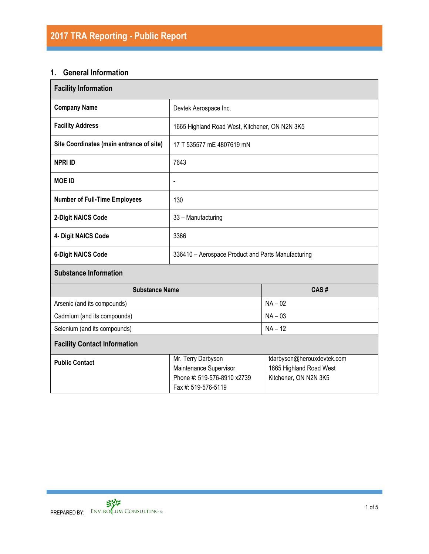# **1. General Information**

| <b>Facility Information</b>                                                                                                 |                                                    |                                                                                |  |  |  |
|-----------------------------------------------------------------------------------------------------------------------------|----------------------------------------------------|--------------------------------------------------------------------------------|--|--|--|
| <b>Company Name</b>                                                                                                         | Devtek Aerospace Inc.                              |                                                                                |  |  |  |
| <b>Facility Address</b>                                                                                                     | 1665 Highland Road West, Kitchener, ON N2N 3K5     |                                                                                |  |  |  |
| Site Coordinates (main entrance of site)                                                                                    | 17 T 535577 mE 4807619 mN                          |                                                                                |  |  |  |
| <b>NPRI ID</b>                                                                                                              | 7643                                               |                                                                                |  |  |  |
| <b>MOE ID</b>                                                                                                               | $\overline{\phantom{a}}$                           |                                                                                |  |  |  |
| <b>Number of Full-Time Employees</b>                                                                                        | 130                                                |                                                                                |  |  |  |
| 2-Digit NAICS Code                                                                                                          | 33 - Manufacturing                                 |                                                                                |  |  |  |
| 4- Digit NAICS Code                                                                                                         | 3366                                               |                                                                                |  |  |  |
| <b>6-Digit NAICS Code</b>                                                                                                   | 336410 - Aerospace Product and Parts Manufacturing |                                                                                |  |  |  |
| <b>Substance Information</b>                                                                                                |                                                    |                                                                                |  |  |  |
| <b>Substance Name</b>                                                                                                       |                                                    | CAS#                                                                           |  |  |  |
| Arsenic (and its compounds)                                                                                                 |                                                    | $NA - 02$                                                                      |  |  |  |
| Cadmium (and its compounds)                                                                                                 | $NA - 03$                                          |                                                                                |  |  |  |
| Selenium (and its compounds)                                                                                                | $NA - 12$                                          |                                                                                |  |  |  |
| <b>Facility Contact Information</b>                                                                                         |                                                    |                                                                                |  |  |  |
| Mr. Terry Darbyson<br><b>Public Contact</b><br>Maintenance Supervisor<br>Phone #: 519-576-8910 x2739<br>Fax #: 519-576-5119 |                                                    | tdarbyson@herouxdevtek.com<br>1665 Highland Road West<br>Kitchener, ON N2N 3K5 |  |  |  |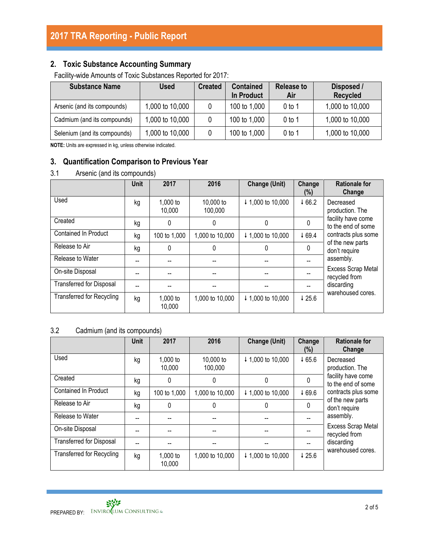# **2. Toxic Substance Accounting Summary**

Facility-wide Amounts of Toxic Substances Reported for 2017:

| <b>Substance Name</b>        | <b>Used</b>     | <b>Created</b> | <b>Contained</b><br><b>In Product</b> | <b>Release to</b><br>Air | Disposed /<br><b>Recycled</b> |
|------------------------------|-----------------|----------------|---------------------------------------|--------------------------|-------------------------------|
| Arsenic (and its compounds)  | 1,000 to 10,000 |                | 100 to 1,000                          | $0$ to 1                 | 1,000 to 10,000               |
| Cadmium (and its compounds)  | 1,000 to 10,000 |                | 100 to 1,000                          | $0$ to 1                 | 1,000 to 10,000               |
| Selenium (and its compounds) | 1,000 to 10,000 |                | 100 to 1,000                          | 0 to 1                   | 1,000 to 10,000               |

**NOTE:** Units are expressed in kg, unless otherwise indicated.

## **3. Quantification Comparison to Previous Year**

### 3.1 Arsenic (and its compounds)

|                                  | <b>Unit</b> | 2017               | 2016                 | <b>Change (Unit)</b> | Change<br>$(\%)$ | <b>Rationale for</b><br>Change             |
|----------------------------------|-------------|--------------------|----------------------|----------------------|------------------|--------------------------------------------|
| Used                             | kg          | 1,000 to<br>10,000 | 10,000 to<br>100,000 | ↓ 1,000 to 10,000    | 466.2            | Decreased<br>production. The               |
| Created                          | kg          | 0                  | 0                    | 0                    | 0                | facility have come<br>to the end of some   |
| <b>Contained In Product</b>      | kg          | 100 to 1,000       | 1,000 to 10,000      | ↓ 1,000 to 10,000    | 469.4            | contracts plus some                        |
| Release to Air                   | kg          | 0                  | 0                    | 0                    | 0                | of the new parts<br>don't require          |
| Release to Water                 |             |                    |                      |                      |                  | assembly.                                  |
| On-site Disposal                 |             |                    |                      |                      |                  | <b>Excess Scrap Metal</b><br>recycled from |
| <b>Transferred for Disposal</b>  |             |                    |                      |                      |                  | discarding                                 |
| <b>Transferred for Recycling</b> | kg          | 1,000 to<br>10,000 | 1,000 to 10,000      | ↓ 1,000 to 10,000    | 425.6            | warehoused cores.                          |

## 3.2 Cadmium (and its compounds)

|                                  | <b>Unit</b> | 2017               | 2016                 | Change (Unit)     | Change<br>(%) | <b>Rationale for</b><br>Change             |
|----------------------------------|-------------|--------------------|----------------------|-------------------|---------------|--------------------------------------------|
| Used                             | kg          | 1,000 to<br>10,000 | 10,000 to<br>100,000 | ↓ 1,000 to 10,000 | 465.6         | Decreased<br>production. The               |
| Created                          | kg          | 0                  | 0                    | 0                 | $\mathbf 0$   | facility have come<br>to the end of some   |
| <b>Contained In Product</b>      | kg          | 100 to 1,000       | 1,000 to 10,000      | ↓ 1,000 to 10,000 | 469.6         | contracts plus some                        |
| Release to Air                   | kg          | 0                  | $\Omega$             | 0                 | 0             | of the new parts<br>don't require          |
| Release to Water                 | --          |                    |                      |                   |               | assembly.                                  |
| On-site Disposal                 |             |                    |                      |                   |               | <b>Excess Scrap Metal</b><br>recycled from |
| Transferred for Disposal         |             |                    |                      |                   |               | discarding                                 |
| <b>Transferred for Recycling</b> | kg          | 1,000 to<br>10,000 | 1,000 to 10,000      | ↓ 1,000 to 10,000 | 425.6         | warehoused cores.                          |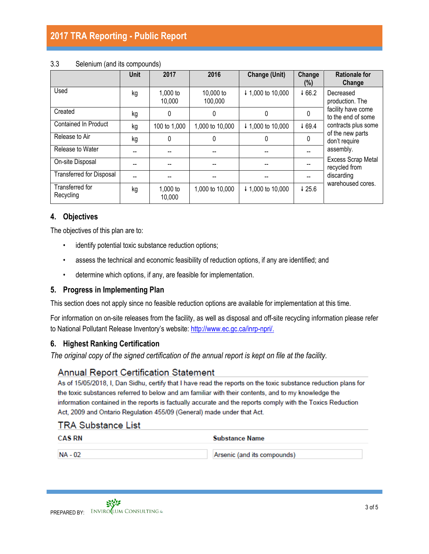# **2017 TRA Reporting - Public Report**

|                                 | Unit | 2017               | 2016                 | Change (Unit)     | Change<br>$(\%)$ | <b>Rationale for</b><br>Change             |
|---------------------------------|------|--------------------|----------------------|-------------------|------------------|--------------------------------------------|
| Used                            | kg   | 1,000 to<br>10,000 | 10,000 to<br>100,000 | ↓ 1,000 to 10,000 | 466.2            | Decreased<br>production. The               |
| Created                         | kg   | 0                  | 0                    | 0                 | 0                | facility have come<br>to the end of some   |
| <b>Contained In Product</b>     | kg   | 100 to 1,000       | 1,000 to 10,000      | ↓ 1,000 to 10,000 | 469.4            | contracts plus some                        |
| Release to Air                  | kg   | 0                  | 0                    | 0                 | 0                | of the new parts<br>don't require          |
| Release to Water                | --   |                    |                      |                   |                  | assembly.                                  |
| On-site Disposal                |      |                    |                      |                   |                  | <b>Excess Scrap Metal</b><br>recycled from |
| <b>Transferred for Disposal</b> |      |                    |                      |                   |                  | discarding                                 |
| Transferred for<br>Recycling    | kg   | 1,000 to<br>10,000 | 1,000 to 10,000      | ↓ 1,000 to 10,000 | 425.6            | warehoused cores.                          |

#### 3.3 Selenium (and its compounds)

#### **4. Objectives**

The objectives of this plan are to:

- identify potential toxic substance reduction options;
- assess the technical and economic feasibility of reduction options, if any are identified; and
- determine which options, if any, are feasible for implementation.

#### **5. Progress in Implementing Plan**

This section does not apply since no feasible reduction options are available for implementation at this time.

For information on on-site releases from the facility, as well as disposal and off-site recycling information please refer to National Pollutant Release Inventory's website: [http://www.ec.gc.ca/inrp-npri/.](http://www.ec.gc.ca/inrp-npri/)

#### **6. Highest Ranking Certification**

*The original copy of the signed certification of the annual report is kept on file at the facility.*

#### **Annual Report Certification Statement**

As of 15/05/2018, I, Dan Sidhu, certify that I have read the reports on the toxic substance reduction plans for the toxic substances referred to below and am familiar with their contents, and to my knowledge the information contained in the reports is factually accurate and the reports comply with the Toxics Reduction Act, 2009 and Ontario Regulation 455/09 (General) made under that Act.

## **TRA Substance List**

| <b>CAS RN</b> | <b>Substance Name</b>       |
|---------------|-----------------------------|
| NA - 02       | Arsenic (and its compounds) |